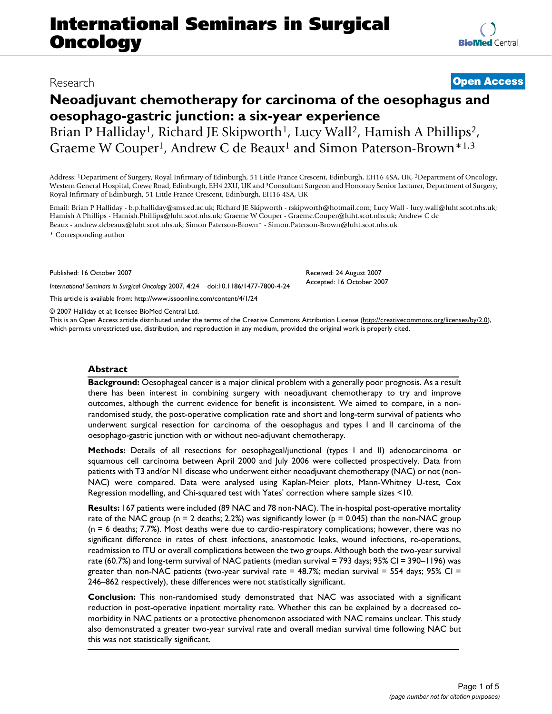# **Neoadjuvant chemotherapy for carcinoma of the oesophagus and oesophago-gastric junction: a six-year experience**

Brian P Halliday<sup>1</sup>, Richard JE Skipworth<sup>1</sup>, Lucy Wall<sup>2</sup>, Hamish A Phillips<sup>2</sup>, Graeme W Couper<sup>1</sup>, Andrew C de Beaux<sup>1</sup> and Simon Paterson-Brown<sup>\*1,3</sup>

Address: 1Department of Surgery, Royal Infirmary of Edinburgh, 51 Little France Crescent, Edinburgh, EH16 4SA, UK, 2Department of Oncology, Western General Hospital, Crewe Road, Edinburgh, EH4 2XU, UK and 3Consultant Surgeon and Honorary Senior Lecturer, Department of Surgery, Royal Infirmary of Edinburgh, 51 Little France Crescent, Edinburgh, EH16 4SA, UK

Email: Brian P Halliday - b.p.halliday@sms.ed.ac.uk; Richard JE Skipworth - rskipworth@hotmail.com; Lucy Wall - lucy.wall@luht.scot.nhs.uk; Hamish A Phillips - Hamish.Phillips@luht.scot.nhs.uk; Graeme W Couper - Graeme.Couper@luht.scot.nhs.uk; Andrew C de Beaux - andrew.debeaux@luht.scot.nhs.uk; Simon Paterson-Brown\* - Simon.Paterson-Brown@luht.scot.nhs.uk

\* Corresponding author

Published: 16 October 2007

*International Seminars in Surgical Oncology* 2007, **4**:24 doi:10.1186/1477-7800-4-24

[This article is available from: http://www.issoonline.com/content/4/1/24](http://www.issoonline.com/content/4/1/24)

© 2007 Halliday et al; licensee BioMed Central Ltd.

This is an Open Access article distributed under the terms of the Creative Commons Attribution License [\(http://creativecommons.org/licenses/by/2.0\)](http://creativecommons.org/licenses/by/2.0), which permits unrestricted use, distribution, and reproduction in any medium, provided the original work is properly cited.

# **Abstract**

**Background:** Oesophageal cancer is a major clinical problem with a generally poor prognosis. As a result there has been interest in combining surgery with neoadjuvant chemotherapy to try and improve outcomes, although the current evidence for benefit is inconsistent. We aimed to compare, in a nonrandomised study, the post-operative complication rate and short and long-term survival of patients who underwent surgical resection for carcinoma of the oesophagus and types I and II carcinoma of the oesophago-gastric junction with or without neo-adjuvant chemotherapy.

**Methods:** Details of all resections for oesophageal/junctional (types I and II) adenocarcinoma or squamous cell carcinoma between April 2000 and July 2006 were collected prospectively. Data from patients with T3 and/or N1 disease who underwent either neoadjuvant chemotherapy (NAC) or not (non-NAC) were compared. Data were analysed using Kaplan-Meier plots, Mann-Whitney U-test, Cox Regression modelling, and Chi-squared test with Yates' correction where sample sizes <10.

**Results:** 167 patients were included (89 NAC and 78 non-NAC). The in-hospital post-operative mortality rate of the NAC group ( $n = 2$  deaths; 2.2%) was significantly lower ( $p = 0.045$ ) than the non-NAC group (n = 6 deaths; 7.7%). Most deaths were due to cardio-respiratory complications; however, there was no significant difference in rates of chest infections, anastomotic leaks, wound infections, re-operations, readmission to ITU or overall complications between the two groups. Although both the two-year survival rate (60.7%) and long-term survival of NAC patients (median survival = 793 days; 95% CI = 390–1196) was greater than non-NAC patients (two-year survival rate =  $48.7\%$ ; median survival = 554 days; 95% CI = 246–862 respectively), these differences were not statistically significant.

**Conclusion:** This non-randomised study demonstrated that NAC was associated with a significant reduction in post-operative inpatient mortality rate. Whether this can be explained by a decreased comorbidity in NAC patients or a protective phenomenon associated with NAC remains unclear. This study also demonstrated a greater two-year survival rate and overall median survival time following NAC but this was not statistically significant.

# Research **[Open Access](http://www.biomedcentral.com/info/about/charter/)**

Received: 24 August 2007 Accepted: 16 October 2007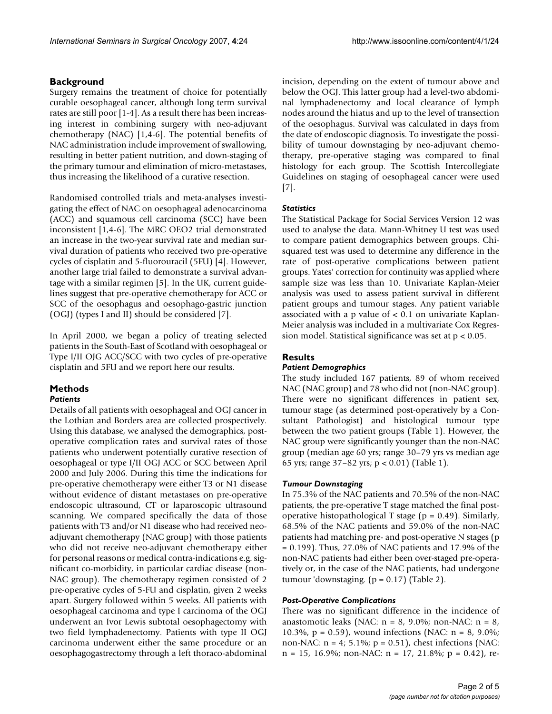# **Background**

Surgery remains the treatment of choice for potentially curable oesophageal cancer, although long term survival rates are still poor [1-4]. As a result there has been increasing interest in combining surgery with neo-adjuvant chemotherapy (NAC) [1,4-6]. The potential benefits of NAC administration include improvement of swallowing, resulting in better patient nutrition, and down-staging of the primary tumour and elimination of micro-metastases, thus increasing the likelihood of a curative resection.

Randomised controlled trials and meta-analyses investigating the effect of NAC on oesophageal adenocarcinoma (ACC) and squamous cell carcinoma (SCC) have been inconsistent [1,4-6]. The MRC OEO2 trial demonstrated an increase in the two-year survival rate and median survival duration of patients who received two pre-operative cycles of cisplatin and 5-fluorouracil (5FU) [4]. However, another large trial failed to demonstrate a survival advantage with a similar regimen [5]. In the UK, current guidelines suggest that pre-operative chemotherapy for ACC or SCC of the oesophagus and oesophago-gastric junction (OGJ) (types I and II) should be considered [7].

In April 2000, we began a policy of treating selected patients in the South-East of Scotland with oesophageal or Type I/II OJG ACC/SCC with two cycles of pre-operative cisplatin and 5FU and we report here our results.

# **Methods**

# *Patients*

Details of all patients with oesophageal and OGJ cancer in the Lothian and Borders area are collected prospectively. Using this database, we analysed the demographics, postoperative complication rates and survival rates of those patients who underwent potentially curative resection of oesophageal or type I/II OGJ ACC or SCC between April 2000 and July 2006. During this time the indications for pre-operative chemotherapy were either T3 or N1 disease without evidence of distant metastases on pre-operative endoscopic ultrasound, CT or laparoscopic ultrasound scanning. We compared specifically the data of those patients with T3 and/or N1 disease who had received neoadjuvant chemotherapy (NAC group) with those patients who did not receive neo-adjuvant chemotherapy either for personal reasons or medical contra-indications e.g. significant co-morbidity, in particular cardiac disease (non-NAC group). The chemotherapy regimen consisted of 2 pre-operative cycles of 5-FU and cisplatin, given 2 weeks apart. Surgery followed within 5 weeks. All patients with oesophageal carcinoma and type I carcinoma of the OGJ underwent an Ivor Lewis subtotal oesophagectomy with two field lymphadenectomy. Patients with type II OGJ carcinoma underwent either the same procedure or an oesophagogastrectomy through a left thoraco-abdominal

incision, depending on the extent of tumour above and below the OGJ. This latter group had a level-two abdominal lymphadenectomy and local clearance of lymph nodes around the hiatus and up to the level of transection of the oesophagus. Survival was calculated in days from the date of endoscopic diagnosis. To investigate the possibility of tumour downstaging by neo-adjuvant chemotherapy, pre-operative staging was compared to final histology for each group. The Scottish Intercollegiate Guidelines on staging of oesophageal cancer were used [7].

# *Statistics*

The Statistical Package for Social Services Version 12 was used to analyse the data. Mann-Whitney U test was used to compare patient demographics between groups. Chisquared test was used to determine any difference in the rate of post-operative complications between patient groups. Yates' correction for continuity was applied where sample size was less than 10. Univariate Kaplan-Meier analysis was used to assess patient survival in different patient groups and tumour stages. Any patient variable associated with a p value of < 0.1 on univariate Kaplan-Meier analysis was included in a multivariate Cox Regression model. Statistical significance was set at p < 0.05.

# **Results**

# *Patient Demographics*

The study included 167 patients, 89 of whom received NAC (NAC group) and 78 who did not (non-NAC group). There were no significant differences in patient sex, tumour stage (as determined post-operatively by a Consultant Pathologist) and histological tumour type between the two patient groups (Table 1). However, the NAC group were significantly younger than the non-NAC group (median age 60 yrs; range 30–79 yrs vs median age 65 yrs; range 37–82 yrs; p < 0.01) (Table 1).

# *Tumour Downstaging*

In 75.3% of the NAC patients and 70.5% of the non-NAC patients, the pre-operative T stage matched the final postoperative histopathological T stage ( $p = 0.49$ ). Similarly, 68.5% of the NAC patients and 59.0% of the non-NAC patients had matching pre- and post-operative N stages (p = 0.199). Thus, 27.0% of NAC patients and 17.9% of the non-NAC patients had either been over-staged pre-operatively or, in the case of the NAC patients, had undergone tumour 'downstaging.  $(p = 0.17)$  (Table 2).

# *Post-Operative Complications*

There was no significant difference in the incidence of anastomotic leaks (NAC:  $n = 8$ , 9.0%; non-NAC:  $n = 8$ , 10.3%,  $p = 0.59$ , wound infections (NAC:  $n = 8$ , 9.0%; non-NAC: n = 4; 5.1%; p = 0.51), chest infections (NAC:  $n = 15$ , 16.9%; non-NAC:  $n = 17$ , 21.8%;  $p = 0.42$ ), re-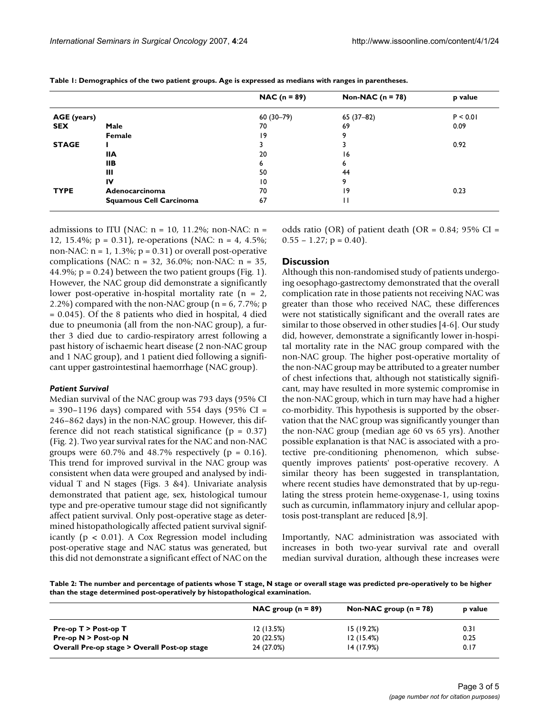|              |                                | $NAC (n = 89)$ | Non-NAC ( $n = 78$ ) | p value  |
|--------------|--------------------------------|----------------|----------------------|----------|
| AGE (years)  |                                | $60(30-79)$    | $65(37-82)$          | P < 0.01 |
| <b>SEX</b>   | Male                           | 70             | 69                   | 0.09     |
|              | Female                         | 19             | 9                    |          |
| <b>STAGE</b> |                                |                |                      | 0.92     |
|              | <b>IIA</b>                     | 20             | 16                   |          |
|              | <b>IIB</b>                     | ь              | 6                    |          |
|              | Ш                              | 50             | 44                   |          |
|              | IV                             | 10             | 9                    |          |
| <b>TYPE</b>  | Adenocarcinoma                 | 70             | 9                    | 0.23     |
|              | <b>Squamous Cell Carcinoma</b> | 67             | н                    |          |

**Table 1: Demographics of the two patient groups. Age is expressed as medians with ranges in parentheses.**

admissions to ITU (NAC:  $n = 10$ , 11.2%; non-NAC:  $n =$ 12, 15.4%; p = 0.31), re-operations (NAC: n = 4, 4.5%; non-NAC:  $n = 1$ , 1.3%;  $p = 0.31$  or overall post-operative complications (NAC: n = 32, 36.0%; non-NAC: n = 35, 44.9%;  $p = 0.24$ ) between the two patient groups (Fig. 1). However, the NAC group did demonstrate a significantly lower post-operative in-hospital mortality rate  $(n = 2,$ 2.2%) compared with the non-NAC group ( $n = 6, 7.7\%$ ; p = 0.045). Of the 8 patients who died in hospital, 4 died due to pneumonia (all from the non-NAC group), a further 3 died due to cardio-respiratory arrest following a past history of ischaemic heart disease (2 non-NAC group and 1 NAC group), and 1 patient died following a significant upper gastrointestinal haemorrhage (NAC group).

## *Patient Survival*

Median survival of the NAC group was 793 days (95% CI  $=$  390–1196 days) compared with 554 days (95% CI  $=$ 246–862 days) in the non-NAC group. However, this difference did not reach statistical significance ( $p = 0.37$ ) (Fig. 2). Two year survival rates for the NAC and non-NAC groups were 60.7% and 48.7% respectively ( $p = 0.16$ ). This trend for improved survival in the NAC group was consistent when data were grouped and analysed by individual T and N stages (Figs. 3 &4). Univariate analysis demonstrated that patient age, sex, histological tumour type and pre-operative tumour stage did not significantly affect patient survival. Only post-operative stage as determined histopathologically affected patient survival significantly ( $p < 0.01$ ). A Cox Regression model including post-operative stage and NAC status was generated, but this did not demonstrate a significant effect of NAC on the

odds ratio (OR) of patient death (OR =  $0.84$ ; 95% CI =  $0.55 - 1.27$ ;  $p = 0.40$ ).

#### **Discussion**

Although this non-randomised study of patients undergoing oesophago-gastrectomy demonstrated that the overall complication rate in those patients not receiving NAC was greater than those who received NAC, these differences were not statistically significant and the overall rates are similar to those observed in other studies [4-6]. Our study did, however, demonstrate a significantly lower in-hospital mortality rate in the NAC group compared with the non-NAC group. The higher post-operative mortality of the non-NAC group may be attributed to a greater number of chest infections that, although not statistically significant, may have resulted in more systemic compromise in the non-NAC group, which in turn may have had a higher co-morbidity. This hypothesis is supported by the observation that the NAC group was significantly younger than the non-NAC group (median age 60 vs 65 yrs). Another possible explanation is that NAC is associated with a protective pre-conditioning phenomenon, which subsequently improves patients' post-operative recovery. A similar theory has been suggested in transplantation, where recent studies have demonstrated that by up-regulating the stress protein heme-oxygenase-1, using toxins such as curcumin, inflammatory injury and cellular apoptosis post-transplant are reduced [8,9].

Importantly, NAC administration was associated with increases in both two-year survival rate and overall median survival duration, although these increases were

**Table 2: The number and percentage of patients whose T stage, N stage or overall stage was predicted pre-operatively to be higher than the stage determined post-operatively by histopathological examination.**

|                                              | NAC group $(n = 89)$ | Non-NAC group $(n = 78)$ | <b>p</b> value |
|----------------------------------------------|----------------------|--------------------------|----------------|
| Pre-op $T >$ Post-op $T$                     | 12(13.5%)            | 15(19.2%)                | 0.31           |
| Pre-op $N >$ Post-op N                       | 20 (22.5%)           | 12(15.4%)                | 0.25           |
| Overall Pre-op stage > Overall Post-op stage | 24 (27.0%)           | 14 (17.9%)               | 0.17           |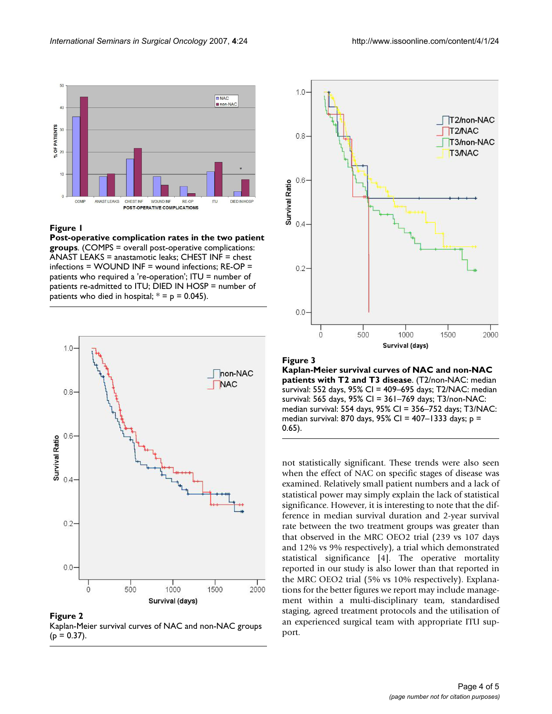

#### **Figure 1**

**Post-operative complication rates in the two patient groups**. (COMPS = overall post-operative complications: ANAST LEAKS = anastamotic leaks; CHEST INF = chest infections = WOUND INF = wound infections; RE-OP = patients who required a 're-operation'; ITU = number of patients re-admitted to ITU; DIED IN HOSP = number of patients who died in hospital;  $* = p = 0.045$ ).



**Figure 2** Kaplan-Meier survival curves of NAC and non-NAC groups  $(p = 0.37)$ .



**Figure 3 Kaplan-Meier survival curves of NAC and non-NAC patients with T2 and T3 disease**. (T2/non-NAC: median survival: 552 days, 95% CI = 409–695 days; T2/NAC: median survival: 565 days, 95% CI = 361–769 days; T3/non-NAC: median survival: 554 days, 95% CI = 356–752 days; T3/NAC: median survival: 870 days, 95% CI = 407-1333 days;  $p =$ 0.65).

not statistically significant. These trends were also seen when the effect of NAC on specific stages of disease was examined. Relatively small patient numbers and a lack of statistical power may simply explain the lack of statistical significance. However, it is interesting to note that the difference in median survival duration and 2-year survival rate between the two treatment groups was greater than that observed in the MRC OEO2 trial (239 vs 107 days and 12% vs 9% respectively), a trial which demonstrated statistical significance [4]. The operative mortality reported in our study is also lower than that reported in the MRC OEO2 trial (5% vs 10% respectively). Explanations for the better figures we report may include management within a multi-disciplinary team, standardised staging, agreed treatment protocols and the utilisation of an experienced surgical team with appropriate ITU support.